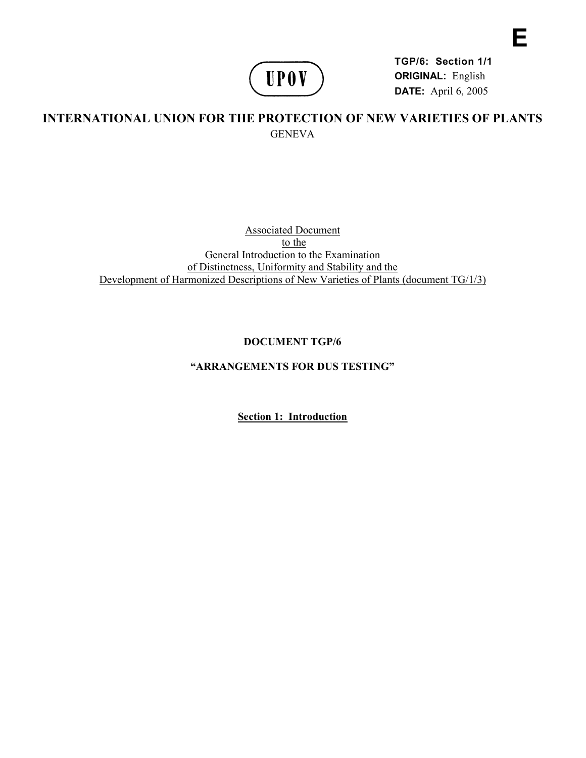

**TGP/6: Section 1/1 ORIGINAL:** English **DATE:** April 6, 2005

**E** 

## **INTERNATIONAL UNION FOR THE PROTECTION OF NEW VARIETIES OF PLANTS GENEVA**

Associated Document to the General Introduction to the Examination of Distinctness, Uniformity and Stability and the Development of Harmonized Descriptions of New Varieties of Plants (document TG/1/3)

## **DOCUMENT TGP/6**

## **"ARRANGEMENTS FOR DUS TESTING"**

**Section 1: Introduction**